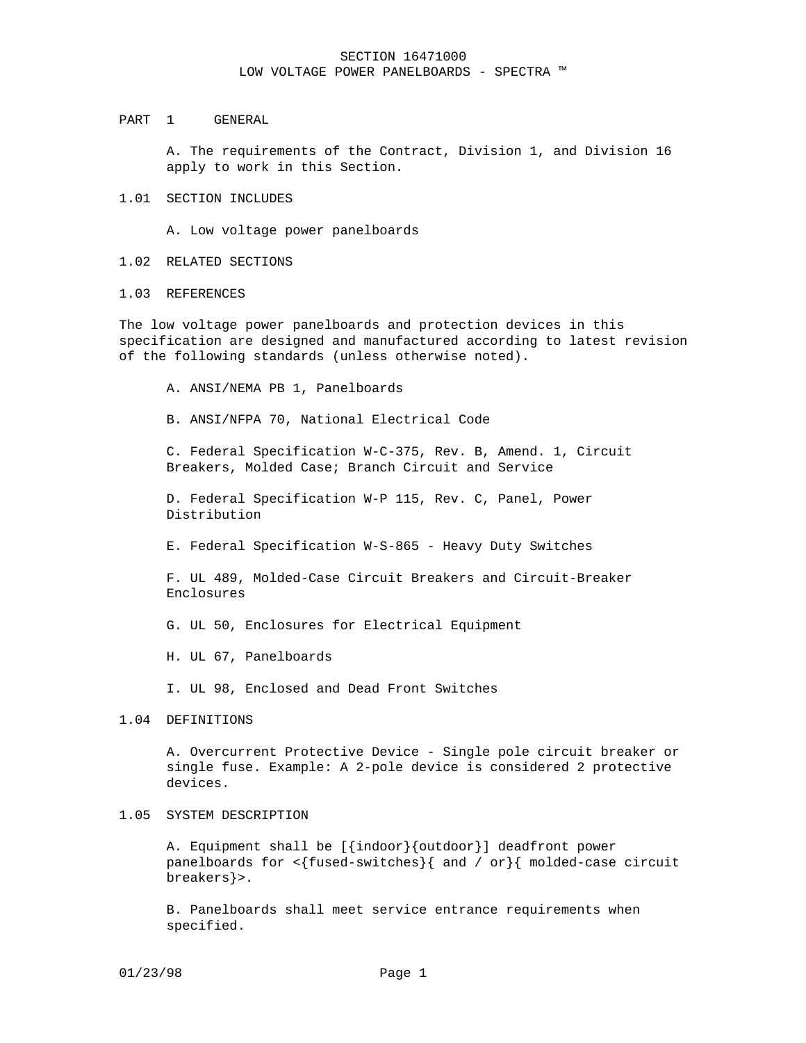#### PART 1 GENERAL

A. The requirements of the Contract, Division 1, and Division 16 apply to work in this Section.

#### 1.01 SECTION INCLUDES

A. Low voltage power panelboards

# 1.02 RELATED SECTIONS

## 1.03 REFERENCES

The low voltage power panelboards and protection devices in this specification are designed and manufactured according to latest revision of the following standards (unless otherwise noted).

A. ANSI/NEMA PB 1, Panelboards

B. ANSI/NFPA 70, National Electrical Code

C. Federal Specification W-C-375, Rev. B, Amend. 1, Circuit Breakers, Molded Case; Branch Circuit and Service

D. Federal Specification W-P 115, Rev. C, Panel, Power Distribution

E. Federal Specification W-S-865 - Heavy Duty Switches

F. UL 489, Molded-Case Circuit Breakers and Circuit-Breaker Enclosures

G. UL 50, Enclosures for Electrical Equipment

H. UL 67, Panelboards

I. UL 98, Enclosed and Dead Front Switches

#### 1.04 DEFINITIONS

A. Overcurrent Protective Device - Single pole circuit breaker or single fuse. Example: A 2-pole device is considered 2 protective devices.

# 1.05 SYSTEM DESCRIPTION

A. Equipment shall be [{indoor}{outdoor}] deadfront power panelboards for <{fused-switches}{ and / or}{ molded-case circuit breakers}>.

B. Panelboards shall meet service entrance requirements when specified.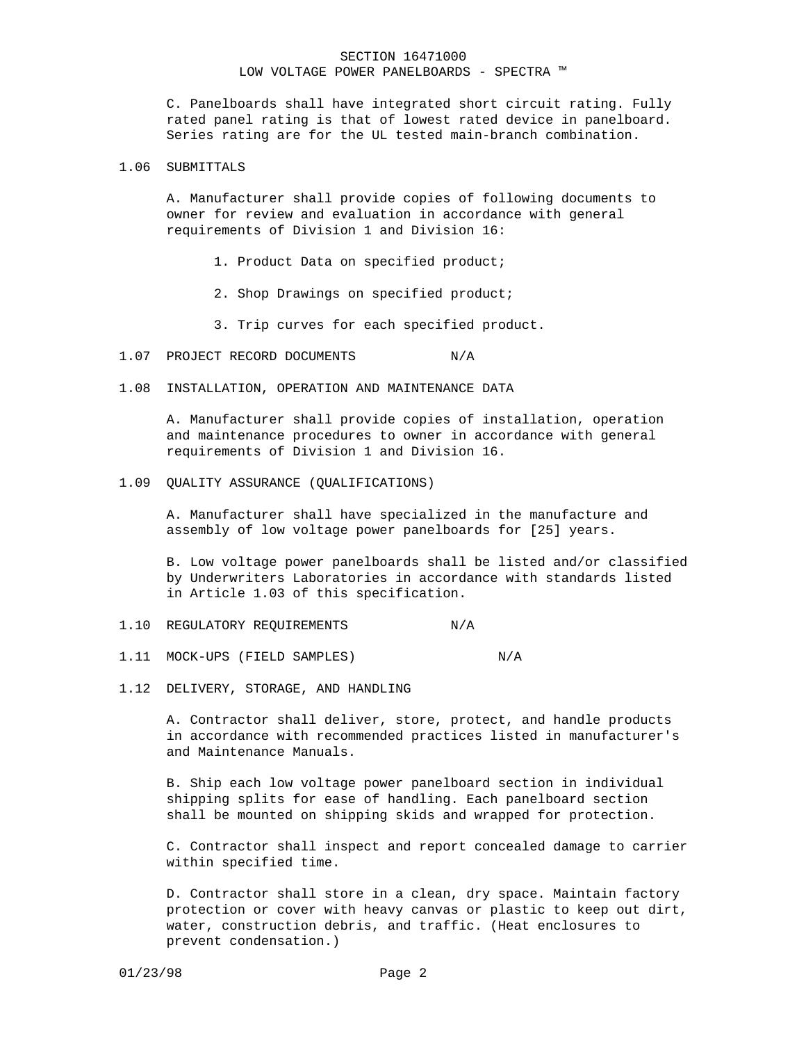C. Panelboards shall have integrated short circuit rating. Fully rated panel rating is that of lowest rated device in panelboard. Series rating are for the UL tested main-branch combination.

#### 1.06 SUBMITTALS

A. Manufacturer shall provide copies of following documents to owner for review and evaluation in accordance with general requirements of Division 1 and Division 16:

- 1. Product Data on specified product;
- 2. Shop Drawings on specified product;
- 3. Trip curves for each specified product.
- 1.07 PROJECT RECORD DOCUMENTS N/A
- 1.08 INSTALLATION, OPERATION AND MAINTENANCE DATA

A. Manufacturer shall provide copies of installation, operation and maintenance procedures to owner in accordance with general requirements of Division 1 and Division 16.

1.09 QUALITY ASSURANCE (QUALIFICATIONS)

A. Manufacturer shall have specialized in the manufacture and assembly of low voltage power panelboards for [25] years.

B. Low voltage power panelboards shall be listed and/or classified by Underwriters Laboratories in accordance with standards listed in Article 1.03 of this specification.

- 1.10 REGULATORY REQUIREMENTS N/A
- 1.11 MOCK-UPS (FIELD SAMPLES) N/A
- 1.12 DELIVERY, STORAGE, AND HANDLING

A. Contractor shall deliver, store, protect, and handle products in accordance with recommended practices listed in manufacturer's and Maintenance Manuals.

B. Ship each low voltage power panelboard section in individual shipping splits for ease of handling. Each panelboard section shall be mounted on shipping skids and wrapped for protection.

C. Contractor shall inspect and report concealed damage to carrier within specified time.

D. Contractor shall store in a clean, dry space. Maintain factory protection or cover with heavy canvas or plastic to keep out dirt, water, construction debris, and traffic. (Heat enclosures to prevent condensation.)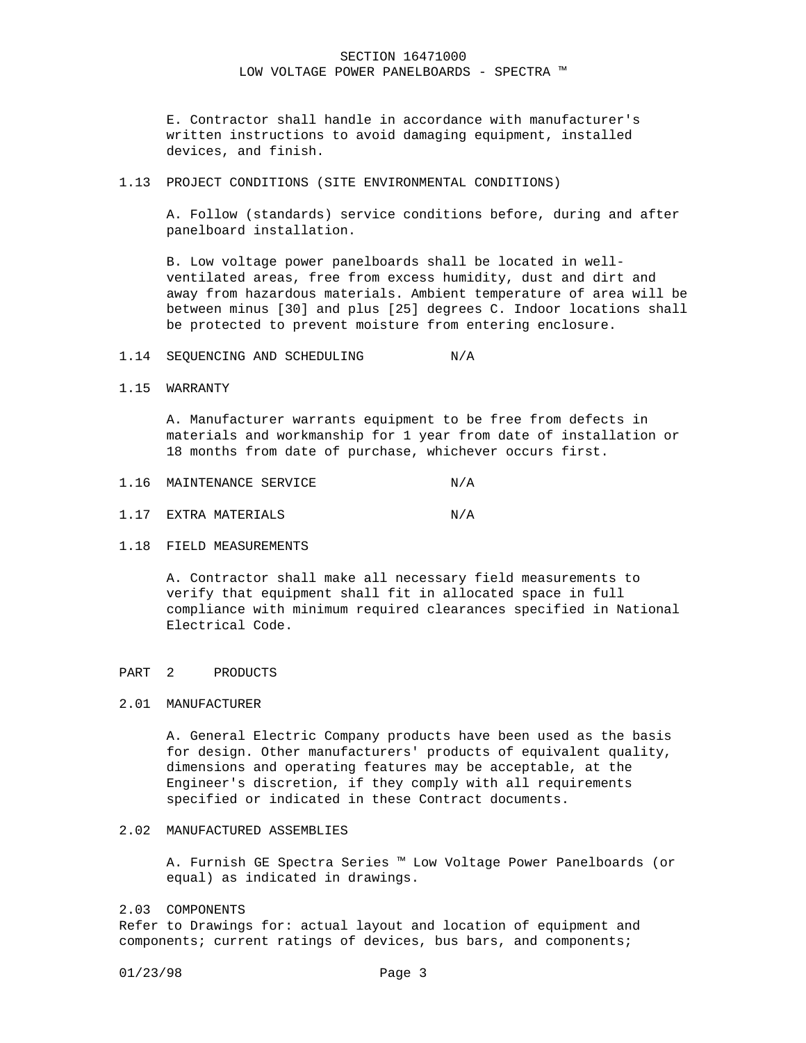E. Contractor shall handle in accordance with manufacturer's written instructions to avoid damaging equipment, installed devices, and finish.

1.13 PROJECT CONDITIONS (SITE ENVIRONMENTAL CONDITIONS)

A. Follow (standards) service conditions before, during and after panelboard installation.

B. Low voltage power panelboards shall be located in wellventilated areas, free from excess humidity, dust and dirt and away from hazardous materials. Ambient temperature of area will be between minus [30] and plus [25] degrees C. Indoor locations shall be protected to prevent moisture from entering enclosure.

- 1.14 SEOUENCING AND SCHEDULING N/A
- 1.15 WARRANTY

A. Manufacturer warrants equipment to be free from defects in materials and workmanship for 1 year from date of installation or 18 months from date of purchase, whichever occurs first.

- 1.17 EXTRA MATERIALS N/A
- 1.18 FIELD MEASUREMENTS

A. Contractor shall make all necessary field measurements to verify that equipment shall fit in allocated space in full compliance with minimum required clearances specified in National Electrical Code.

# PART 2 PRODUCTS

# 2.01 MANUFACTURER

A. General Electric Company products have been used as the basis for design. Other manufacturers' products of equivalent quality, dimensions and operating features may be acceptable, at the Engineer's discretion, if they comply with all requirements specified or indicated in these Contract documents.

#### 2.02 MANUFACTURED ASSEMBLIES

A. Furnish GE Spectra Series ™ Low Voltage Power Panelboards (or equal) as indicated in drawings.

#### 2.03 COMPONENTS

Refer to Drawings for: actual layout and location of equipment and components; current ratings of devices, bus bars, and components;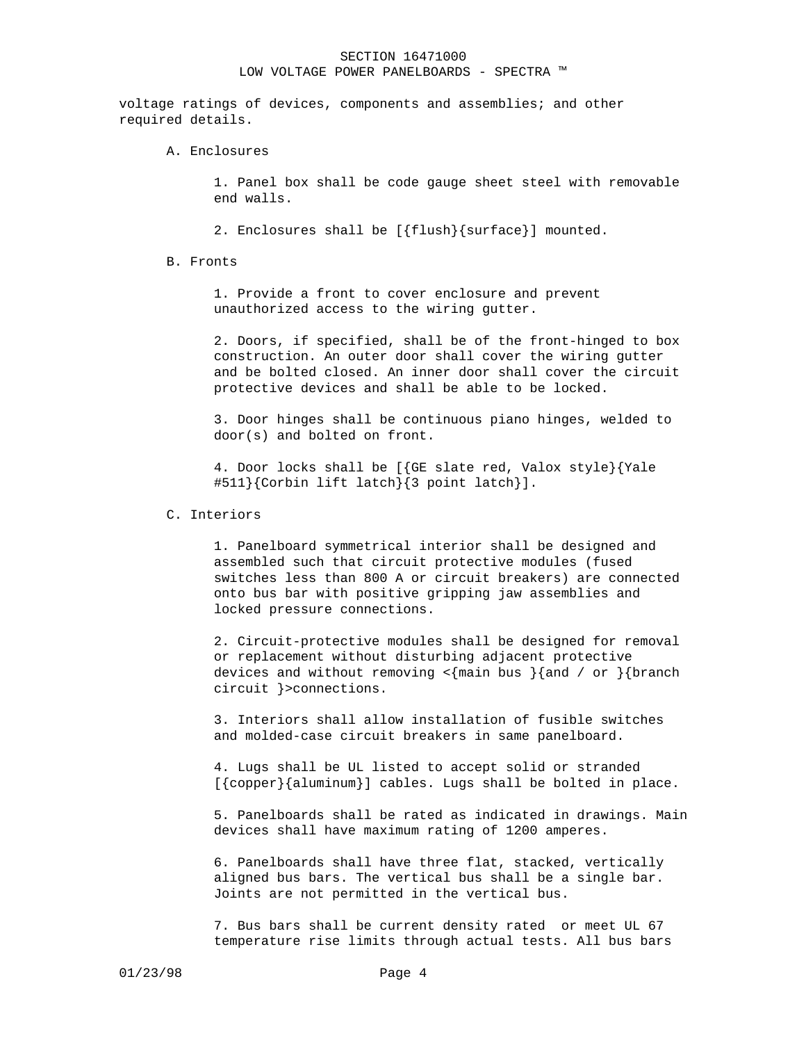voltage ratings of devices, components and assemblies; and other required details.

A. Enclosures

1. Panel box shall be code gauge sheet steel with removable end walls.

2. Enclosures shall be [{flush}{surface}] mounted.

B. Fronts

1. Provide a front to cover enclosure and prevent unauthorized access to the wiring gutter.

2. Doors, if specified, shall be of the front-hinged to box construction. An outer door shall cover the wiring gutter and be bolted closed. An inner door shall cover the circuit protective devices and shall be able to be locked.

3. Door hinges shall be continuous piano hinges, welded to door(s) and bolted on front.

4. Door locks shall be [{GE slate red, Valox style}{Yale #511}{Corbin lift latch}{3 point latch}].

# C. Interiors

1. Panelboard symmetrical interior shall be designed and assembled such that circuit protective modules (fused switches less than 800 A or circuit breakers) are connected onto bus bar with positive gripping jaw assemblies and locked pressure connections.

2. Circuit-protective modules shall be designed for removal or replacement without disturbing adjacent protective devices and without removing  $\langle \text{main bus } \rangle$  and / or  $\rangle$  {branch circuit }>connections.

3. Interiors shall allow installation of fusible switches and molded-case circuit breakers in same panelboard.

4. Lugs shall be UL listed to accept solid or stranded [{copper}{aluminum}] cables. Lugs shall be bolted in place.

5. Panelboards shall be rated as indicated in drawings. Main devices shall have maximum rating of 1200 amperes.

6. Panelboards shall have three flat, stacked, vertically aligned bus bars. The vertical bus shall be a single bar. Joints are not permitted in the vertical bus.

7. Bus bars shall be current density rated or meet UL 67 temperature rise limits through actual tests. All bus bars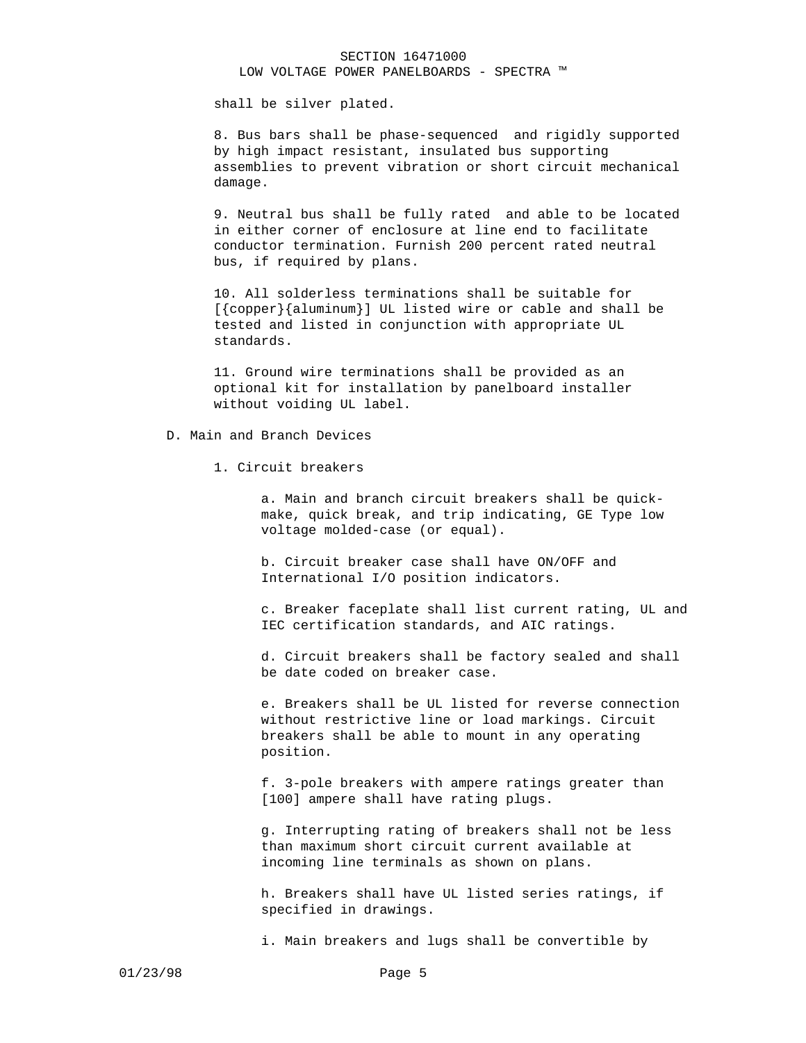shall be silver plated.

8. Bus bars shall be phase-sequenced and rigidly supported by high impact resistant, insulated bus supporting assemblies to prevent vibration or short circuit mechanical damage.

9. Neutral bus shall be fully rated and able to be located in either corner of enclosure at line end to facilitate conductor termination. Furnish 200 percent rated neutral bus, if required by plans.

10. All solderless terminations shall be suitable for [{copper}{aluminum}] UL listed wire or cable and shall be tested and listed in conjunction with appropriate UL standards.

11. Ground wire terminations shall be provided as an optional kit for installation by panelboard installer without voiding UL label.

## D. Main and Branch Devices

1. Circuit breakers

a. Main and branch circuit breakers shall be quickmake, quick break, and trip indicating, GE Type low voltage molded-case (or equal).

b. Circuit breaker case shall have ON/OFF and International I/O position indicators.

c. Breaker faceplate shall list current rating, UL and IEC certification standards, and AIC ratings.

d. Circuit breakers shall be factory sealed and shall be date coded on breaker case.

e. Breakers shall be UL listed for reverse connection without restrictive line or load markings. Circuit breakers shall be able to mount in any operating position.

f. 3-pole breakers with ampere ratings greater than [100] ampere shall have rating plugs.

g. Interrupting rating of breakers shall not be less than maximum short circuit current available at incoming line terminals as shown on plans.

h. Breakers shall have UL listed series ratings, if specified in drawings.

i. Main breakers and lugs shall be convertible by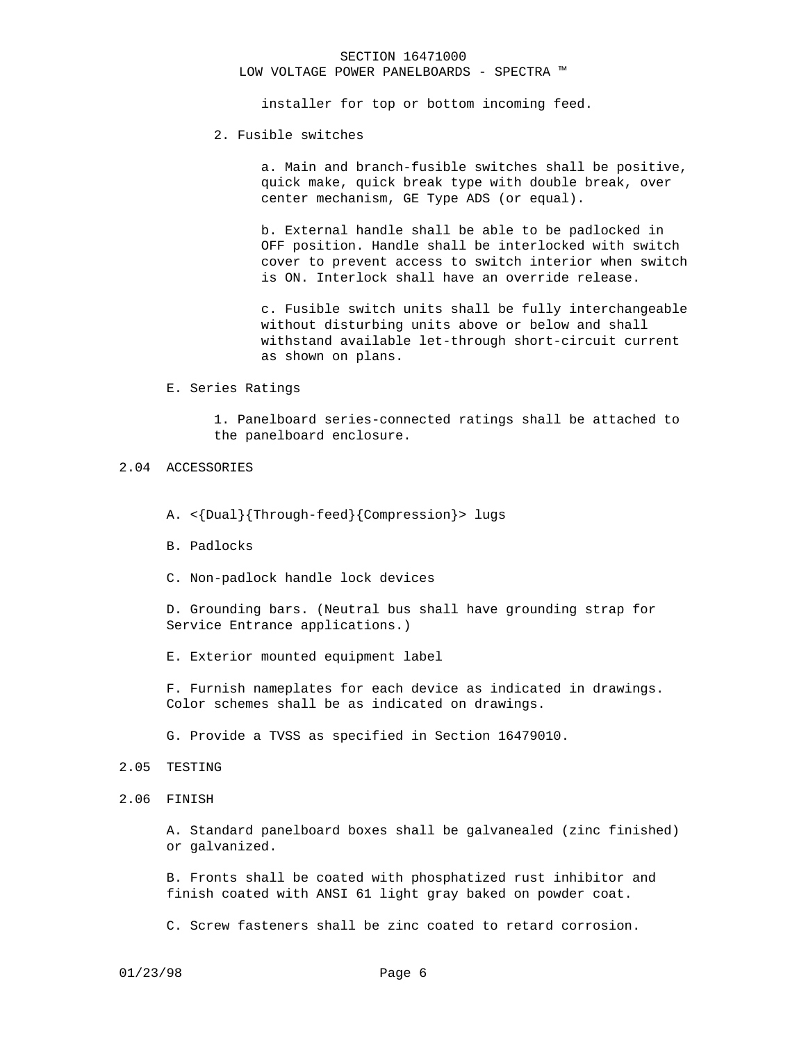# SECTION 16471000

LOW VOLTAGE POWER PANELBOARDS - SPECTRA ™

installer for top or bottom incoming feed.

#### 2. Fusible switches

a. Main and branch-fusible switches shall be positive, quick make, quick break type with double break, over center mechanism, GE Type ADS (or equal).

b. External handle shall be able to be padlocked in OFF position. Handle shall be interlocked with switch cover to prevent access to switch interior when switch is ON. Interlock shall have an override release.

c. Fusible switch units shall be fully interchangeable without disturbing units above or below and shall withstand available let-through short-circuit current as shown on plans.

E. Series Ratings

1. Panelboard series-connected ratings shall be attached to the panelboard enclosure.

# 2.04 ACCESSORIES

- A. <{Dual}{Through-feed}{Compression}> lugs
- B. Padlocks
- C. Non-padlock handle lock devices

D. Grounding bars. (Neutral bus shall have grounding strap for Service Entrance applications.)

E. Exterior mounted equipment label

F. Furnish nameplates for each device as indicated in drawings. Color schemes shall be as indicated on drawings.

G. Provide a TVSS as specified in Section 16479010.

#### 2.05 TESTING

2.06 FINISH

A. Standard panelboard boxes shall be galvanealed (zinc finished) or galvanized.

B. Fronts shall be coated with phosphatized rust inhibitor and finish coated with ANSI 61 light gray baked on powder coat.

C. Screw fasteners shall be zinc coated to retard corrosion.